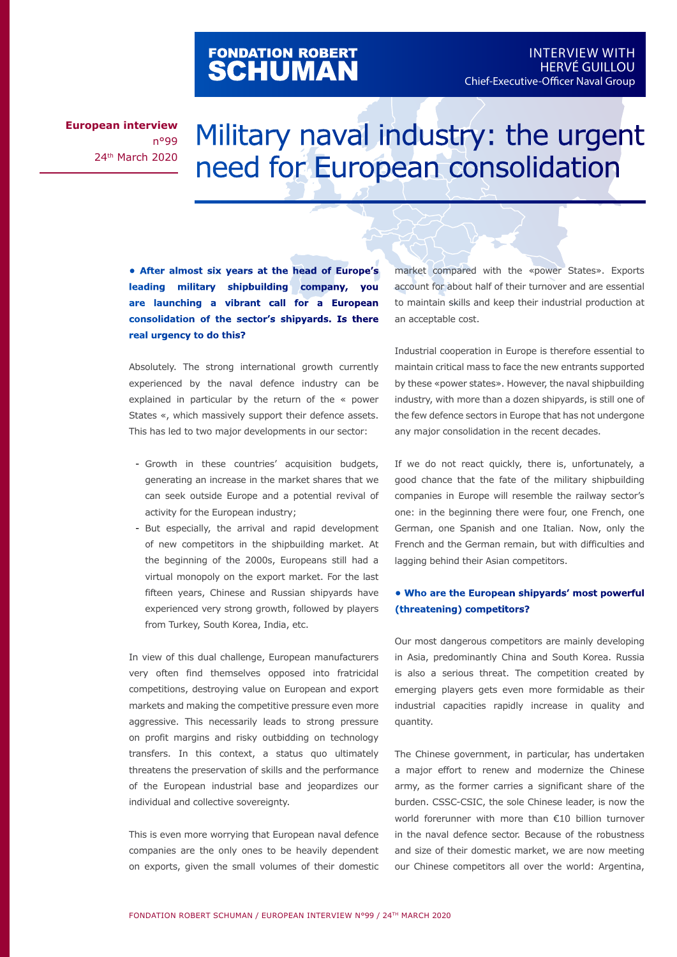# FONDATION ROBERT<br>**SCHUMAN**

**European interview** n°99 24th March 2020

# Military naval industry: the urgent need for European consolidation

**• After almost six years at the head of Europe's leading military shipbuilding company, you are launching a vibrant call for a European consolidation of the sector's shipyards. Is there real urgency to do this?**

Absolutely. The strong international growth currently experienced by the naval defence industry can be explained in particular by the return of the « power States «, which massively support their defence assets. This has led to two major developments in our sector:

- Growth in these countries' acquisition budgets, generating an increase in the market shares that we can seek outside Europe and a potential revival of activity for the European industry;
- But especially, the arrival and rapid development of new competitors in the shipbuilding market. At the beginning of the 2000s, Europeans still had a virtual monopoly on the export market. For the last fifteen years, Chinese and Russian shipyards have experienced very strong growth, followed by players from Turkey, South Korea, India, etc.

In view of this dual challenge, European manufacturers very often find themselves opposed into fratricidal competitions, destroying value on European and export markets and making the competitive pressure even more aggressive. This necessarily leads to strong pressure on profit margins and risky outbidding on technology transfers. In this context, a status quo ultimately threatens the preservation of skills and the performance of the European industrial base and jeopardizes our individual and collective sovereignty.

This is even more worrying that European naval defence companies are the only ones to be heavily dependent on exports, given the small volumes of their domestic market compared with the «power States». Exports account for about half of their turnover and are essential to maintain skills and keep their industrial production at an acceptable cost.

Industrial cooperation in Europe is therefore essential to maintain critical mass to face the new entrants supported by these «power states». However, the naval shipbuilding industry, with more than a dozen shipyards, is still one of the few defence sectors in Europe that has not undergone any major consolidation in the recent decades.

If we do not react quickly, there is, unfortunately, a good chance that the fate of the military shipbuilding companies in Europe will resemble the railway sector's one: in the beginning there were four, one French, one German, one Spanish and one Italian. Now, only the French and the German remain, but with difficulties and lagging behind their Asian competitors.

#### **• Who are the European shipyards' most powerful (threatening) competitors?**

Our most dangerous competitors are mainly developing in Asia, predominantly China and South Korea. Russia is also a serious threat. The competition created by emerging players gets even more formidable as their industrial capacities rapidly increase in quality and quantity.

The Chinese government, in particular, has undertaken a major effort to renew and modernize the Chinese army, as the former carries a significant share of the burden. CSSC-CSIC, the sole Chinese leader, is now the world forerunner with more than €10 billion turnover in the naval defence sector. Because of the robustness and size of their domestic market, we are now meeting our Chinese competitors all over the world: Argentina,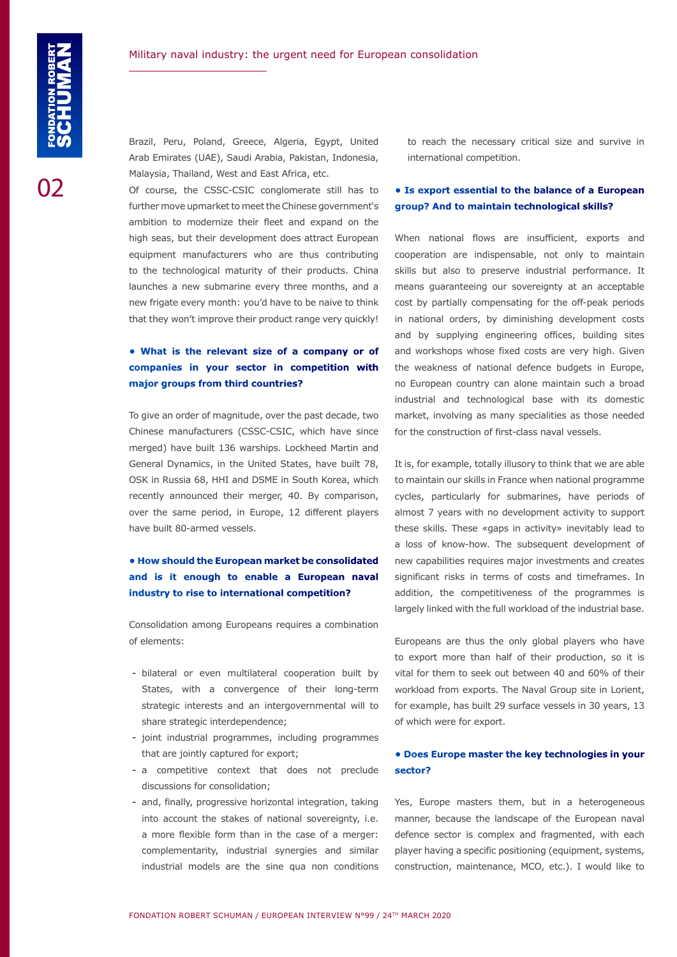Brazil, Peru, Poland, Greece, Algeria, Egypt, United Arab Emirates (UAE), Saudi Arabia, Pakistan, Indonesia, Malaysia, Thailand, West and East Africa, etc.

Of course, the CSSC-CSIC conglomerate still has to further move upmarket to meet the Chinese government's ambition to modernize their fleet and expand on the high seas, but their development does attract European equipment manufacturers who are thus contributing to the technological maturity of their products. China launches a new submarine every three months, and a new frigate every month: you'd have to be naive to think that they won't improve their product range very quickly!

# **• What is the relevant size of a company or of companies in your sector in competition with major groups from third countries?**

To give an order of magnitude, over the past decade, two Chinese manufacturers (CSSC-CSIC, which have since merged) have built 136 warships. Lockheed Martin and General Dynamics, in the United States, have built 78, OSK in Russia 68, HHI and DSME in South Korea, which recently announced their merger, 40. By comparison, over the same period, in Europe, 12 different players have built 80-armed vessels.

# **• How should the European market be consolidated and is it enough to enable a European naval industry to rise to international competition?**

Consolidation among Europeans requires a combination of elements:

- bilateral or even multilateral cooperation built by States, with a convergence of their long-term strategic interests and an intergovernmental will to share strategic interdependence;
- joint industrial programmes, including programmes that are jointly captured for export;
- a competitive context that does not preclude discussions for consolidation;
- and, finally, progressive horizontal integration, taking into account the stakes of national sovereignty, i.e. a more flexible form than in the case of a merger: complementarity, industrial synergies and similar industrial models are the sine qua non conditions

to reach the necessary critical size and survive in international competition.

#### **• Is export essential to the balance of a European group? And to maintain technological skills?**

When national flows are insufficient, exports and cooperation are indispensable, not only to maintain skills but also to preserve industrial performance. It means guaranteeing our sovereignty at an acceptable cost by partially compensating for the off-peak periods in national orders, by diminishing development costs and by supplying engineering offices, building sites and workshops whose fixed costs are very high. Given the weakness of national defence budgets in Europe, no European country can alone maintain such a broad industrial and technological base with its domestic market, involving as many specialities as those needed for the construction of first-class naval vessels.

It is, for example, totally illusory to think that we are able to maintain our skills in France when national programme cycles, particularly for submarines, have periods of almost 7 years with no development activity to support these skills. These «gaps in activity» inevitably lead to a loss of know-how. The subsequent development of new capabilities requires major investments and creates significant risks in terms of costs and timeframes. In addition, the competitiveness of the programmes is largely linked with the full workload of the industrial base.

Europeans are thus the only global players who have to export more than half of their production, so it is vital for them to seek out between 40 and 60% of their workload from exports. The Naval Group site in Lorient, for example, has built 29 surface vessels in 30 years, 13 of which were for export.

#### **• Does Europe master the key technologies in your sector?**

Yes, Europe masters them, but in a heterogeneous manner, because the landscape of the European naval defence sector is complex and fragmented, with each player having a specific positioning (equipment, systems, construction, maintenance, MCO, etc.). I would like to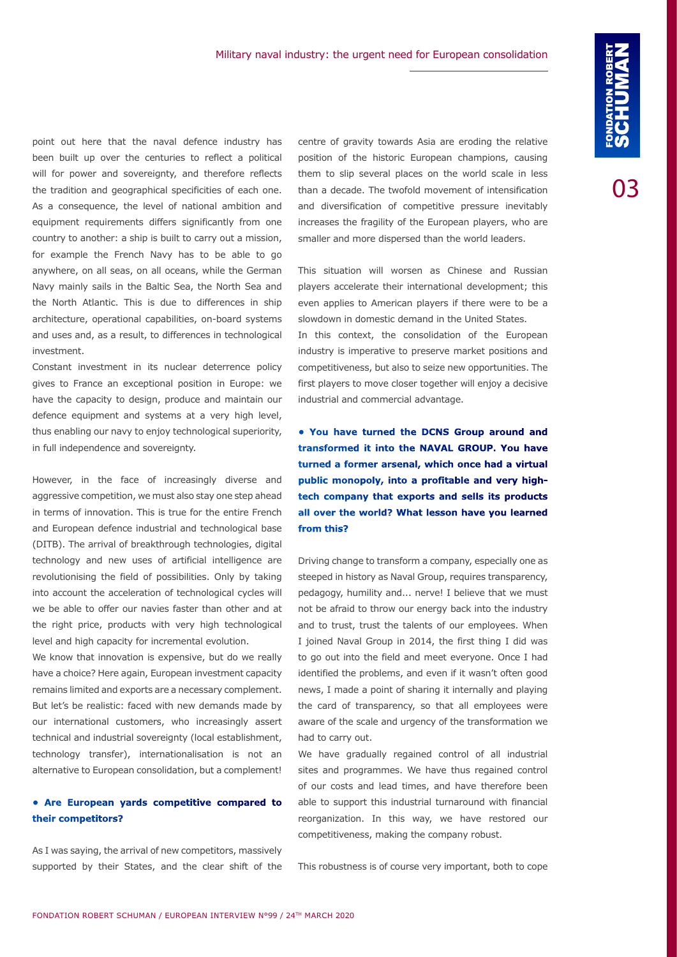point out here that the naval defence industry has been built up over the centuries to reflect a political will for power and sovereignty, and therefore reflects the tradition and geographical specificities of each one. As a consequence, the level of national ambition and equipment requirements differs significantly from one country to another: a ship is built to carry out a mission, for example the French Navy has to be able to go anywhere, on all seas, on all oceans, while the German Navy mainly sails in the Baltic Sea, the North Sea and the North Atlantic. This is due to differences in ship architecture, operational capabilities, on-board systems and uses and, as a result, to differences in technological investment.

Constant investment in its nuclear deterrence policy gives to France an exceptional position in Europe: we have the capacity to design, produce and maintain our defence equipment and systems at a very high level, thus enabling our navy to enjoy technological superiority, in full independence and sovereignty.

However, in the face of increasingly diverse and aggressive competition, we must also stay one step ahead in terms of innovation. This is true for the entire French and European defence industrial and technological base (DITB). The arrival of breakthrough technologies, digital technology and new uses of artificial intelligence are revolutionising the field of possibilities. Only by taking into account the acceleration of technological cycles will we be able to offer our navies faster than other and at the right price, products with very high technological level and high capacity for incremental evolution.

We know that innovation is expensive, but do we really have a choice? Here again, European investment capacity remains limited and exports are a necessary complement. But let's be realistic: faced with new demands made by our international customers, who increasingly assert technical and industrial sovereignty (local establishment, technology transfer), internationalisation is not an alternative to European consolidation, but a complement!

#### **• Are European yards competitive compared to their competitors?**

As I was saying, the arrival of new competitors, massively supported by their States, and the clear shift of the centre of gravity towards Asia are eroding the relative position of the historic European champions, causing them to slip several places on the world scale in less than a decade. The twofold movement of intensification and diversification of competitive pressure inevitably increases the fragility of the European players, who are smaller and more dispersed than the world leaders.

This situation will worsen as Chinese and Russian players accelerate their international development; this even applies to American players if there were to be a slowdown in domestic demand in the United States.

In this context, the consolidation of the European industry is imperative to preserve market positions and competitiveness, but also to seize new opportunities. The first players to move closer together will enjoy a decisive industrial and commercial advantage.

**• You have turned the DCNS Group around and transformed it into the NAVAL GROUP. You have turned a former arsenal, which once had a virtual public monopoly, into a profitable and very hightech company that exports and sells its products all over the world? What lesson have you learned from this?**

Driving change to transform a company, especially one as steeped in history as Naval Group, requires transparency, pedagogy, humility and... nerve! I believe that we must not be afraid to throw our energy back into the industry and to trust, trust the talents of our employees. When I joined Naval Group in 2014, the first thing I did was to go out into the field and meet everyone. Once I had identified the problems, and even if it wasn't often good news, I made a point of sharing it internally and playing the card of transparency, so that all employees were aware of the scale and urgency of the transformation we had to carry out.

We have gradually regained control of all industrial sites and programmes. We have thus regained control of our costs and lead times, and have therefore been able to support this industrial turnaround with financial reorganization. In this way, we have restored our competitiveness, making the company robust.

This robustness is of course very important, both to cope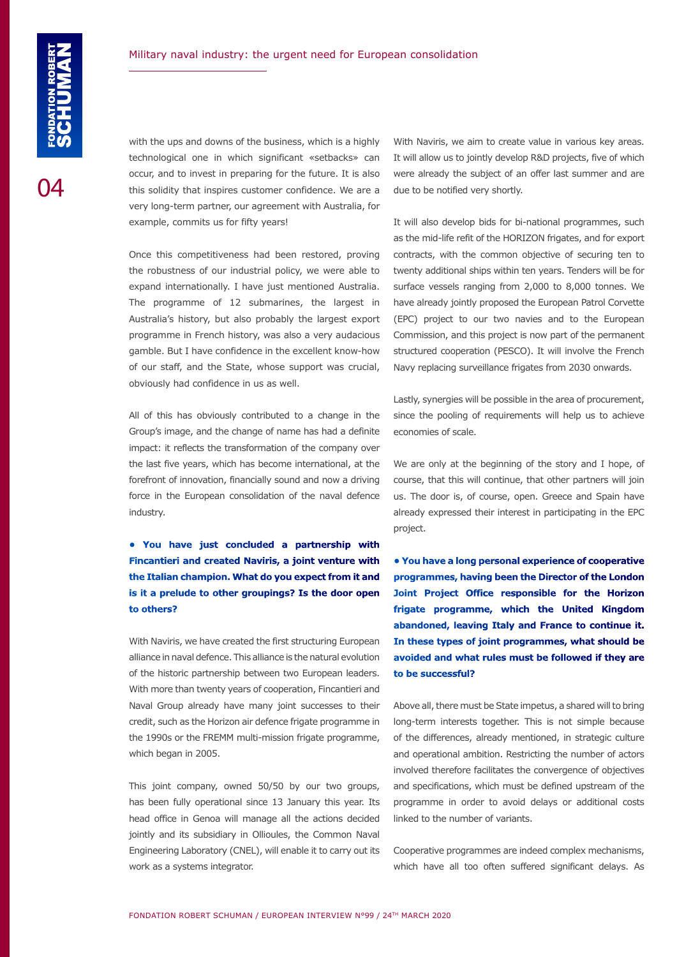with the ups and downs of the business, which is a highly technological one in which significant «setbacks» can occur, and to invest in preparing for the future. It is also this solidity that inspires customer confidence. We are a very long-term partner, our agreement with Australia, for example, commits us for fifty years!

Once this competitiveness had been restored, proving the robustness of our industrial policy, we were able to expand internationally. I have just mentioned Australia. The programme of 12 submarines, the largest in Australia's history, but also probably the largest export programme in French history, was also a very audacious gamble. But I have confidence in the excellent know-how of our staff, and the State, whose support was crucial, obviously had confidence in us as well.

All of this has obviously contributed to a change in the Group's image, and the change of name has had a definite impact: it reflects the transformation of the company over the last five years, which has become international, at the forefront of innovation, financially sound and now a driving force in the European consolidation of the naval defence industry.

**• You have just concluded a partnership with Fincantieri and created Naviris, a joint venture with the Italian champion. What do you expect from it and is it a prelude to other groupings? Is the door open to others?**

With Naviris, we have created the first structuring European alliance in naval defence. This alliance is the natural evolution of the historic partnership between two European leaders. With more than twenty years of cooperation, Fincantieri and Naval Group already have many joint successes to their credit, such as the Horizon air defence frigate programme in the 1990s or the FREMM multi-mission frigate programme, which began in 2005.

This joint company, owned 50/50 by our two groups, has been fully operational since 13 January this year. Its head office in Genoa will manage all the actions decided jointly and its subsidiary in Ollioules, the Common Naval Engineering Laboratory (CNEL), will enable it to carry out its work as a systems integrator.

With Naviris, we aim to create value in various key areas. It will allow us to jointly develop R&D projects, five of which were already the subject of an offer last summer and are due to be notified very shortly.

It will also develop bids for bi-national programmes, such as the mid-life refit of the HORIZON frigates, and for export contracts, with the common objective of securing ten to twenty additional ships within ten years. Tenders will be for surface vessels ranging from 2,000 to 8,000 tonnes. We have already jointly proposed the European Patrol Corvette (EPC) project to our two navies and to the European Commission, and this project is now part of the permanent structured cooperation (PESCO). It will involve the French Navy replacing surveillance frigates from 2030 onwards.

Lastly, synergies will be possible in the area of procurement, since the pooling of requirements will help us to achieve economies of scale.

We are only at the beginning of the story and I hope, of course, that this will continue, that other partners will join us. The door is, of course, open. Greece and Spain have already expressed their interest in participating in the EPC project.

**• You have a long personal experience of cooperative programmes, having been the Director of the London Joint Project Office responsible for the Horizon frigate programme, which the United Kingdom abandoned, leaving Italy and France to continue it. In these types of joint programmes, what should be avoided and what rules must be followed if they are to be successful?**

Above all, there must be State impetus, a shared will to bring long-term interests together. This is not simple because of the differences, already mentioned, in strategic culture and operational ambition. Restricting the number of actors involved therefore facilitates the convergence of objectives and specifications, which must be defined upstream of the programme in order to avoid delays or additional costs linked to the number of variants.

Cooperative programmes are indeed complex mechanisms, which have all too often suffered significant delays. As